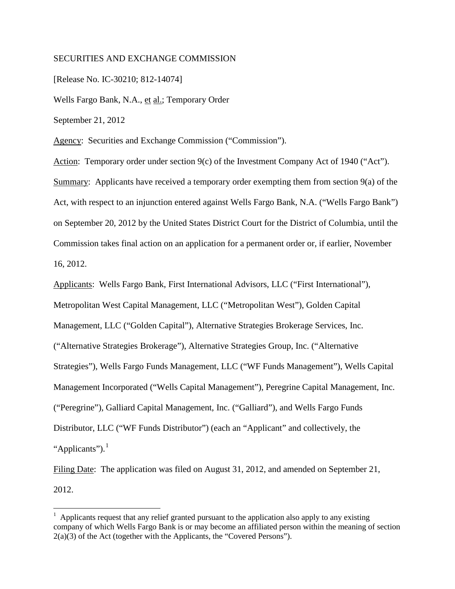## SECURITIES AND EXCHANGE COMMISSION

[Release No. IC-30210; 812-14074]

Wells Fargo Bank, N.A., et al.; Temporary Order

September 21, 2012

 $\overline{a}$ 

Agency: Securities and Exchange Commission ("Commission").

Action: Temporary order under section 9(c) of the Investment Company Act of 1940 ("Act"). Summary: Applicants have received a temporary order exempting them from section 9(a) of the Act, with respect to an injunction entered against Wells Fargo Bank, N.A. ("Wells Fargo Bank") on September 20, 2012 by the United States District Court for the District of Columbia, until the Commission takes final action on an application for a permanent order or, if earlier, November 16, 2012.

Applicants: Wells Fargo Bank, First International Advisors, LLC ("First International"), Metropolitan West Capital Management, LLC ("Metropolitan West"), Golden Capital Management, LLC ("Golden Capital"), Alternative Strategies Brokerage Services, Inc. ("Alternative Strategies Brokerage"), Alternative Strategies Group, Inc. ("Alternative Strategies"), Wells Fargo Funds Management, LLC ("WF Funds Management"), Wells Capital Management Incorporated ("Wells Capital Management"), Peregrine Capital Management, Inc. ("Peregrine"), Galliard Capital Management, Inc. ("Galliard"), and Wells Fargo Funds Distributor, LLC ("WF Funds Distributor") (each an "Applicant" and collectively, the "Applicants"). $<sup>1</sup>$ </sup>

Filing Date: The application was filed on August 31, 2012, and amended on September 21, 2012.

<sup>&</sup>lt;sup>1</sup> Applicants request that any relief granted pursuant to the application also apply to any existing company of which Wells Fargo Bank is or may become an affiliated person within the meaning of section 2(a)(3) of the Act (together with the Applicants, the "Covered Persons").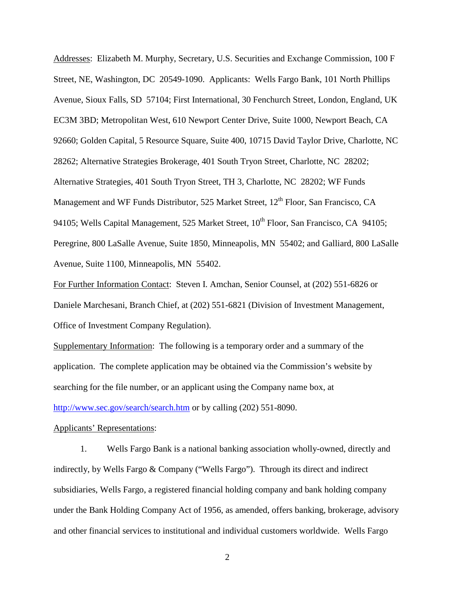Addresses: Elizabeth M. Murphy, Secretary, U.S. Securities and Exchange Commission, 100 F Street, NE, Washington, DC 20549-1090. Applicants: Wells Fargo Bank, 101 North Phillips Avenue, Sioux Falls, SD 57104; First International, 30 Fenchurch Street, London, England, UK EC3M 3BD; Metropolitan West, 610 Newport Center Drive, Suite 1000, Newport Beach, CA 92660; Golden Capital, 5 Resource Square, Suite 400, 10715 David Taylor Drive, Charlotte, NC 28262; Alternative Strategies Brokerage, 401 South Tryon Street, Charlotte, NC 28202; Alternative Strategies, 401 South Tryon Street, TH 3, Charlotte, NC 28202; WF Funds Management and WF Funds Distributor, 525 Market Street,  $12<sup>th</sup>$  Floor, San Francisco, CA 94105; Wells Capital Management, 525 Market Street, 10<sup>th</sup> Floor, San Francisco, CA 94105; Peregrine, 800 LaSalle Avenue, Suite 1850, Minneapolis, MN 55402; and Galliard, 800 LaSalle Avenue, Suite 1100, Minneapolis, MN 55402.

For Further Information Contact: Steven I. Amchan, Senior Counsel, at (202) 551-6826 or Daniele Marchesani, Branch Chief, at (202) 551-6821 (Division of Investment Management, Office of Investment Company Regulation).

Supplementary Information: The following is a temporary order and a summary of the application. The complete application may be obtained via the Commission's website by searching for the file number, or an applicant using the Company name box, at http://www.sec.gov/search/search.htm or by calling (202) 551-8090.

## Applicants' Representations:

1. Wells Fargo Bank is a national banking association wholly-owned, directly and indirectly, by Wells Fargo & Company ("Wells Fargo"). Through its direct and indirect subsidiaries, Wells Fargo, a registered financial holding company and bank holding company under the Bank Holding Company Act of 1956, as amended, offers banking, brokerage, advisory and other financial services to institutional and individual customers worldwide. Wells Fargo

2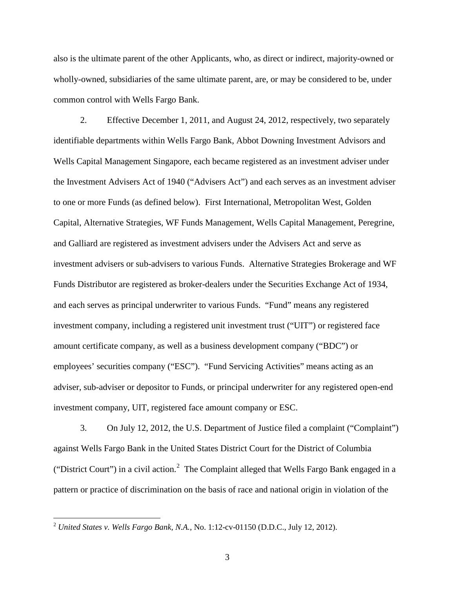also is the ultimate parent of the other Applicants, who, as direct or indirect, majority-owned or wholly-owned, subsidiaries of the same ultimate parent, are, or may be considered to be, under common control with Wells Fargo Bank.

2. Effective December 1, 2011, and August 24, 2012, respectively, two separately identifiable departments within Wells Fargo Bank, Abbot Downing Investment Advisors and Wells Capital Management Singapore, each became registered as an investment adviser under the Investment Advisers Act of 1940 ("Advisers Act") and each serves as an investment adviser to one or more Funds (as defined below). First International, Metropolitan West, Golden Capital, Alternative Strategies, WF Funds Management, Wells Capital Management, Peregrine, and Galliard are registered as investment advisers under the Advisers Act and serve as investment advisers or sub-advisers to various Funds. Alternative Strategies Brokerage and WF Funds Distributor are registered as broker-dealers under the Securities Exchange Act of 1934, and each serves as principal underwriter to various Funds. "Fund" means any registered investment company, including a registered unit investment trust ("UIT") or registered face amount certificate company, as well as a business development company ("BDC") or employees' securities company ("ESC"). "Fund Servicing Activities" means acting as an adviser, sub-adviser or depositor to Funds, or principal underwriter for any registered open-end investment company, UIT, registered face amount company or ESC.

3. On July 12, 2012, the U.S. Department of Justice filed a complaint ("Complaint") against Wells Fargo Bank in the United States District Court for the District of Columbia ("District Court") in a civil action.<sup>2</sup> The Complaint alleged that Wells Fargo Bank engaged in a pattern or practice of discrimination on the basis of race and national origin in violation of the

 $\overline{a}$ 

<sup>2</sup> *United States v. Wells Fargo Bank, N.A.*, No. 1:12-cv-01150 (D.D.C., July 12, 2012).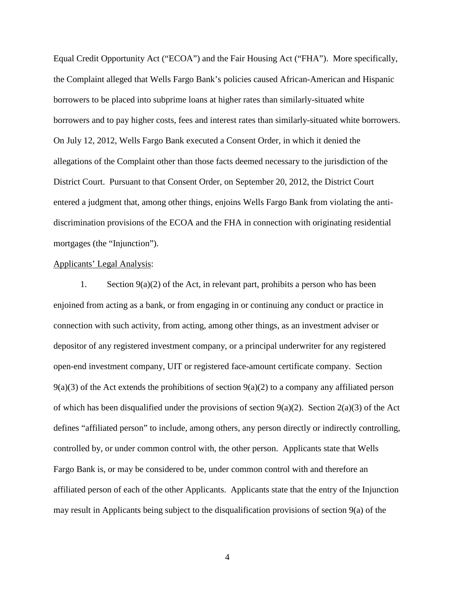Equal Credit Opportunity Act ("ECOA") and the Fair Housing Act ("FHA"). More specifically, the Complaint alleged that Wells Fargo Bank's policies caused African-American and Hispanic borrowers to be placed into subprime loans at higher rates than similarly-situated white borrowers and to pay higher costs, fees and interest rates than similarly-situated white borrowers. On July 12, 2012, Wells Fargo Bank executed a Consent Order, in which it denied the allegations of the Complaint other than those facts deemed necessary to the jurisdiction of the District Court. Pursuant to that Consent Order, on September 20, 2012, the District Court entered a judgment that, among other things, enjoins Wells Fargo Bank from violating the antidiscrimination provisions of the ECOA and the FHA in connection with originating residential mortgages (the "Injunction").

## Applicants' Legal Analysis:

1. Section 9(a)(2) of the Act, in relevant part, prohibits a person who has been enjoined from acting as a bank, or from engaging in or continuing any conduct or practice in connection with such activity, from acting, among other things, as an investment adviser or depositor of any registered investment company, or a principal underwriter for any registered open-end investment company, UIT or registered face-amount certificate company. Section  $9(a)(3)$  of the Act extends the prohibitions of section  $9(a)(2)$  to a company any affiliated person of which has been disqualified under the provisions of section 9(a)(2). Section 2(a)(3) of the Act defines "affiliated person" to include, among others, any person directly or indirectly controlling, controlled by, or under common control with, the other person. Applicants state that Wells Fargo Bank is, or may be considered to be, under common control with and therefore an affiliated person of each of the other Applicants. Applicants state that the entry of the Injunction may result in Applicants being subject to the disqualification provisions of section 9(a) of the

4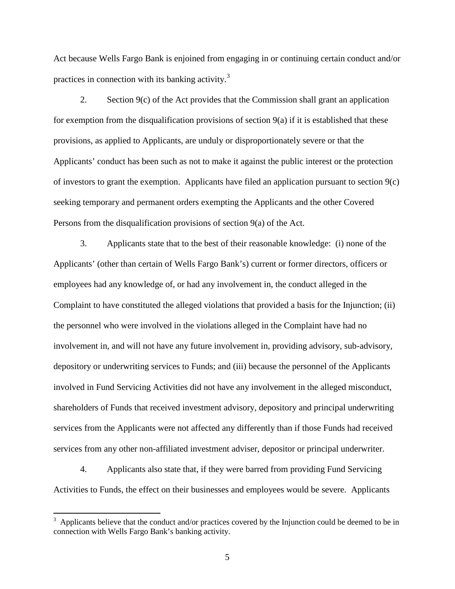Act because Wells Fargo Bank is enjoined from engaging in or continuing certain conduct and/or practices in connection with its banking activity.<sup>3</sup>

2. Section 9(c) of the Act provides that the Commission shall grant an application for exemption from the disqualification provisions of section  $9(a)$  if it is established that these provisions, as applied to Applicants, are unduly or disproportionately severe or that the Applicants' conduct has been such as not to make it against the public interest or the protection of investors to grant the exemption. Applicants have filed an application pursuant to section 9(c) seeking temporary and permanent orders exempting the Applicants and the other Covered Persons from the disqualification provisions of section 9(a) of the Act.

3. Applicants state that to the best of their reasonable knowledge: (i) none of the Applicants' (other than certain of Wells Fargo Bank's) current or former directors, officers or employees had any knowledge of, or had any involvement in, the conduct alleged in the Complaint to have constituted the alleged violations that provided a basis for the Injunction; (ii) the personnel who were involved in the violations alleged in the Complaint have had no involvement in, and will not have any future involvement in, providing advisory, sub-advisory, depository or underwriting services to Funds; and (iii) because the personnel of the Applicants involved in Fund Servicing Activities did not have any involvement in the alleged misconduct, shareholders of Funds that received investment advisory, depository and principal underwriting services from the Applicants were not affected any differently than if those Funds had received services from any other non-affiliated investment adviser, depositor or principal underwriter.

4. Applicants also state that, if they were barred from providing Fund Servicing Activities to Funds, the effect on their businesses and employees would be severe. Applicants

 $\overline{a}$ 

<sup>3</sup> Applicants believe that the conduct and/or practices covered by the Injunction could be deemed to be in connection with Wells Fargo Bank's banking activity.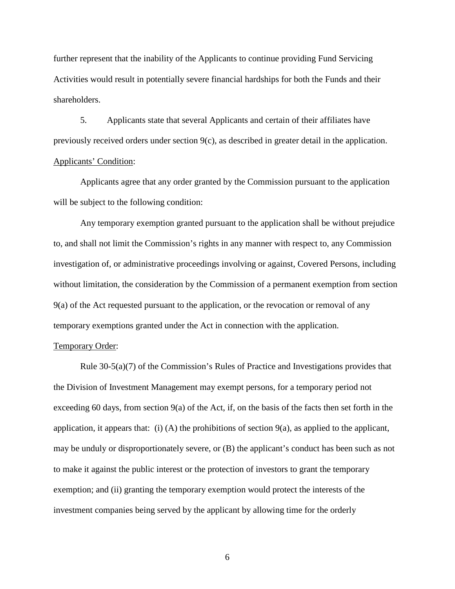further represent that the inability of the Applicants to continue providing Fund Servicing Activities would result in potentially severe financial hardships for both the Funds and their shareholders.

5. Applicants state that several Applicants and certain of their affiliates have previously received orders under section 9(c), as described in greater detail in the application. Applicants' Condition:

Applicants agree that any order granted by the Commission pursuant to the application will be subject to the following condition:

Any temporary exemption granted pursuant to the application shall be without prejudice to, and shall not limit the Commission's rights in any manner with respect to, any Commission investigation of, or administrative proceedings involving or against, Covered Persons, including without limitation, the consideration by the Commission of a permanent exemption from section 9(a) of the Act requested pursuant to the application, or the revocation or removal of any temporary exemptions granted under the Act in connection with the application.

## Temporary Order:

 Rule 30-5(a)(7) of the Commission's Rules of Practice and Investigations provides that the Division of Investment Management may exempt persons, for a temporary period not exceeding 60 days, from section 9(a) of the Act, if, on the basis of the facts then set forth in the application, it appears that: (i) (A) the prohibitions of section  $9(a)$ , as applied to the applicant, may be unduly or disproportionately severe, or (B) the applicant's conduct has been such as not to make it against the public interest or the protection of investors to grant the temporary exemption; and (ii) granting the temporary exemption would protect the interests of the investment companies being served by the applicant by allowing time for the orderly

6